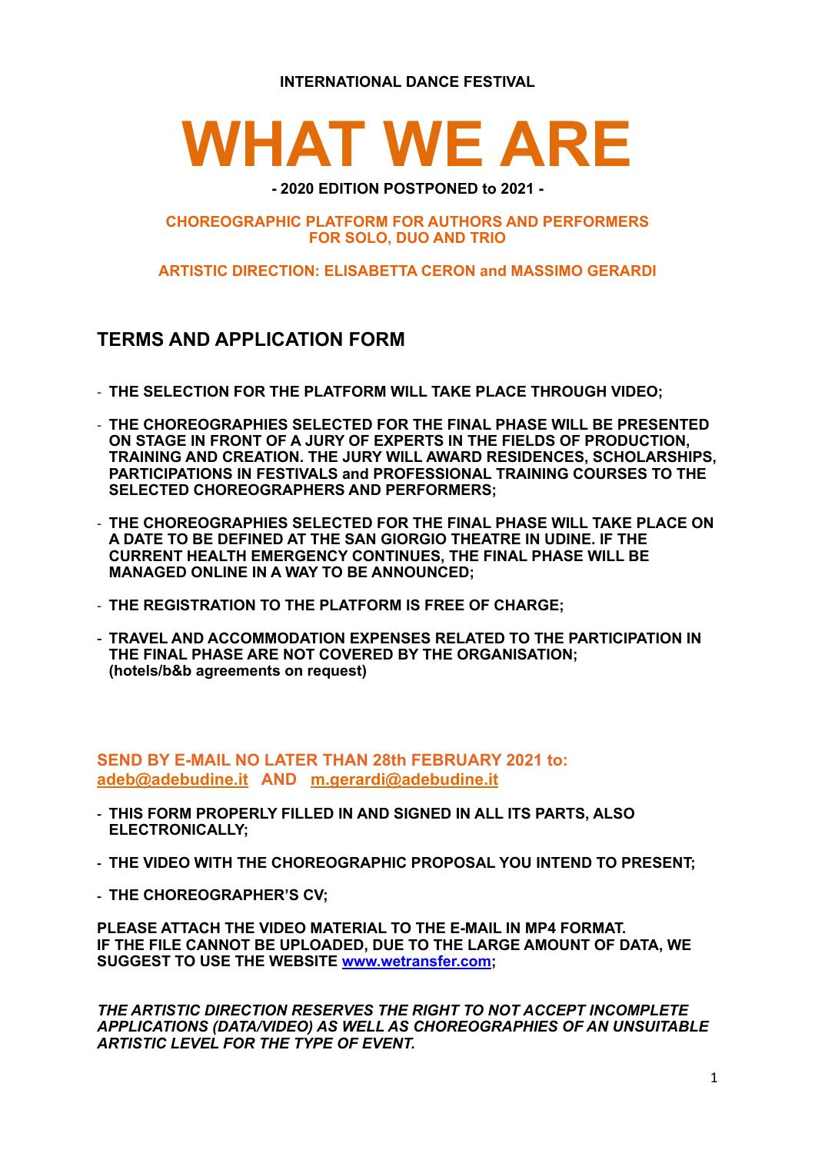**INTERNATIONAL DANCE FESTIVAL** 

# **WHAT WE ARE**

#### **CHOREOGRAPHIC PLATFORM FOR AUTHORS AND PERFORMERS FOR SOLO, DUO AND TRIO**

**ARTISTIC DIRECTION: ELISABETTA CERON and MASSIMO GERARDI**

### **TERMS AND APPLICATION FORM**

- **THE SELECTION FOR THE PLATFORM WILL TAKE PLACE THROUGH VIDEO;**
- **THE CHOREOGRAPHIES SELECTED FOR THE FINAL PHASE WILL BE PRESENTED ON STAGE IN FRONT OF A JURY OF EXPERTS IN THE FIELDS OF PRODUCTION, TRAINING AND CREATION. THE JURY WILL AWARD RESIDENCES, SCHOLARSHIPS, PARTICIPATIONS IN FESTIVALS and PROFESSIONAL TRAINING COURSES TO THE SELECTED CHOREOGRAPHERS AND PERFORMERS;**
- **THE CHOREOGRAPHIES SELECTED FOR THE FINAL PHASE WILL TAKE PLACE ON A DATE TO BE DEFINED AT THE SAN GIORGIO THEATRE IN UDINE. IF THE CURRENT HEALTH EMERGENCY CONTINUES, THE FINAL PHASE WILL BE MANAGED ONLINE IN A WAY TO BE ANNOUNCED;**
- **THE REGISTRATION TO THE PLATFORM IS FREE OF CHARGE;**
- **TRAVEL AND ACCOMMODATION EXPENSES RELATED TO THE PARTICIPATION IN THE FINAL PHASE ARE NOT COVERED BY THE ORGANISATION; (hotels/b&b agreements on request)**

**SEND BY E-MAIL NO LATER THAN 28th FEBRUARY 2021 to: [adeb@adebudine.it](mailto:adeb@adebudine.it) AND m.gerardi@adebudine.it**

- **- THIS FORM PROPERLY FILLED IN AND SIGNED IN ALL ITS PARTS, ALSO ELECTRONICALLY;**
- **- THE VIDEO WITH THE CHOREOGRAPHIC PROPOSAL YOU INTEND TO PRESENT;**
- **- THE CHOREOGRAPHER'S CV;**

**PLEASE ATTACH THE VIDEO MATERIAL TO THE E-MAIL IN MP4 FORMAT. IF THE FILE CANNOT BE UPLOADED, DUE TO THE LARGE AMOUNT OF DATA, WE SUGGEST TO USE THE WEBSITE [www.wetransfer.com;](http://www.wetransfer.com)** 

*THE ARTISTIC DIRECTION RESERVES THE RIGHT TO NOT ACCEPT INCOMPLETE APPLICATIONS (DATA/VIDEO) AS WELL AS CHOREOGRAPHIES OF AN UNSUITABLE ARTISTIC LEVEL FOR THE TYPE OF EVENT.*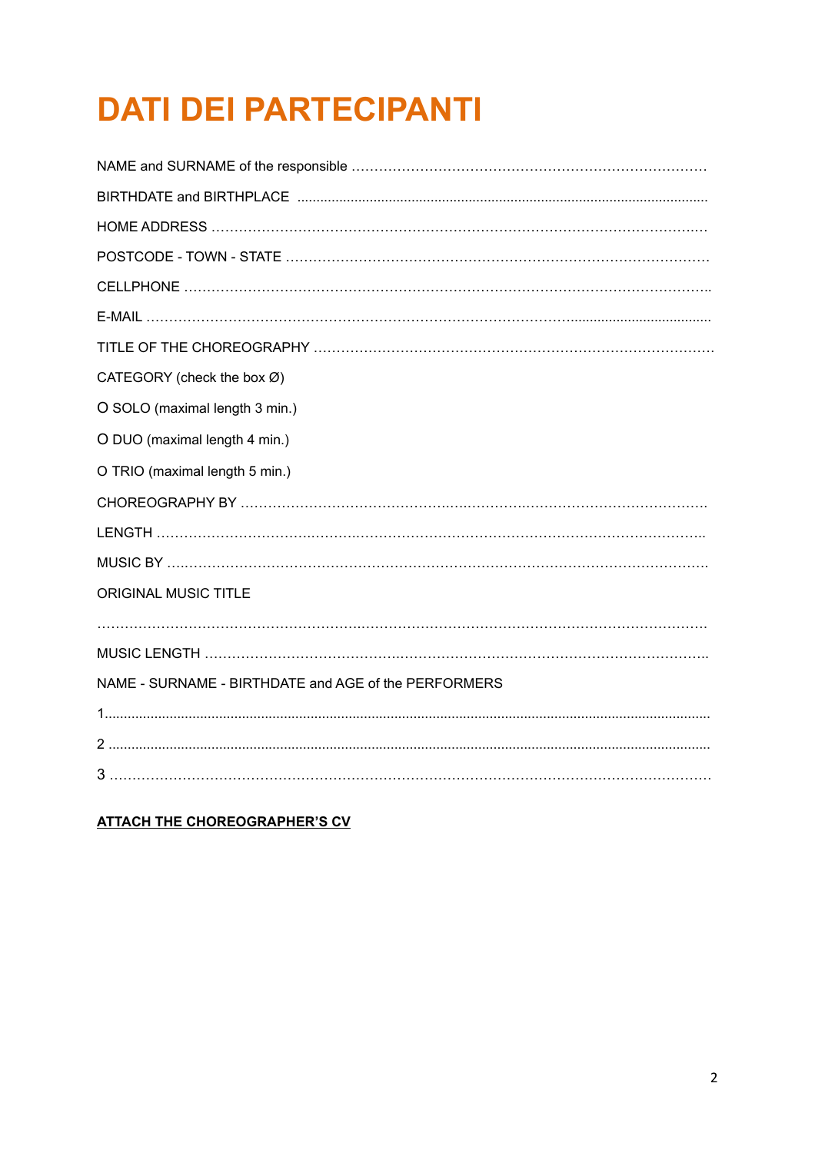## **DATI DEI PARTECIPANTI**

| CATEGORY (check the box Ø)                           |
|------------------------------------------------------|
| O SOLO (maximal length 3 min.)                       |
| O DUO (maximal length 4 min.)                        |
| O TRIO (maximal length 5 min.)                       |
|                                                      |
|                                                      |
|                                                      |
| <b>ORIGINAL MUSIC TITLE</b>                          |
|                                                      |
|                                                      |
| NAME - SURNAME - BIRTHDATE and AGE of the PERFORMERS |
|                                                      |
|                                                      |
|                                                      |
|                                                      |

**ATTACH THE CHOREOGRAPHER'S CV**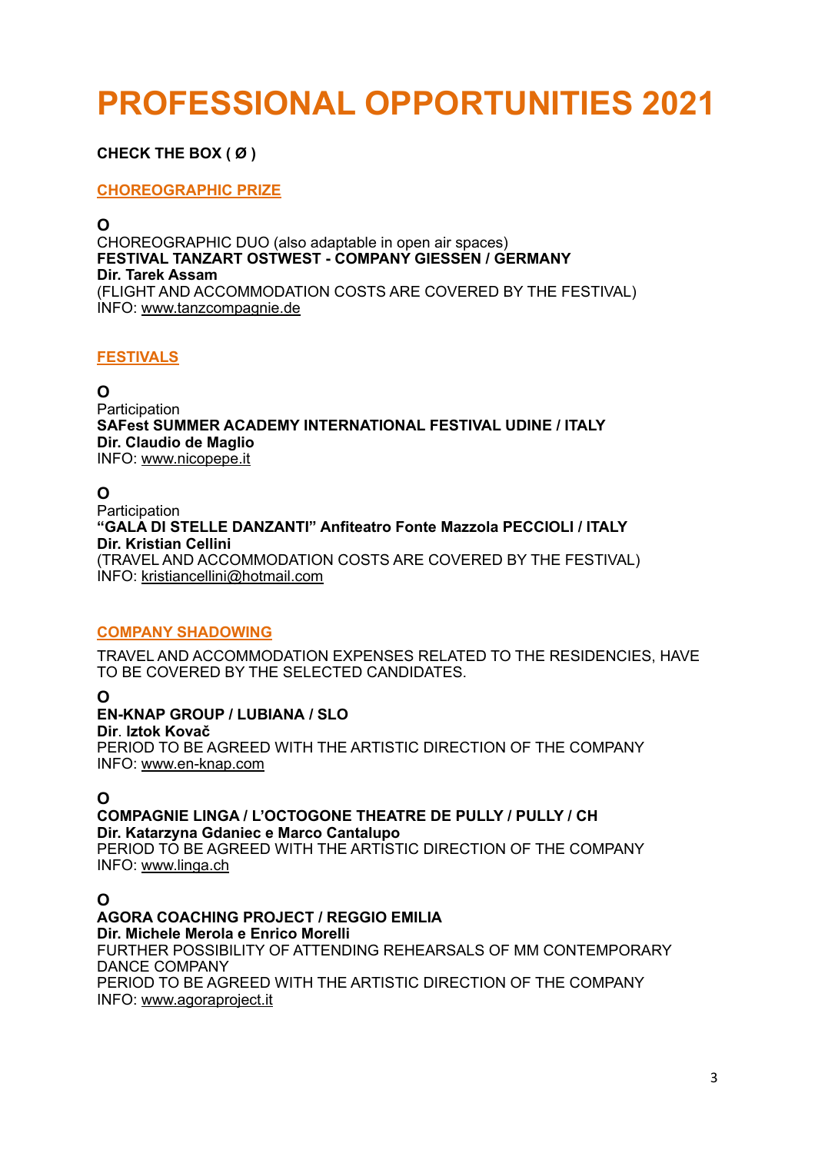### **PROFESSIONAL OPPORTUNITIES 2021**

#### **CHECK THE BOX ( Ø )**

#### **CHOREOGRAPHIC PRIZE**

**O**  CHOREOGRAPHIC DUO (also adaptable in open air spaces) **FESTIVAL TANZART OSTWEST - COMPANY GIESSEN / GERMANY Dir. Tarek Assam**  (FLIGHT AND ACCOMMODATION COSTS ARE COVERED BY THE FESTIVAL) INFO: [www.tanzcompagnie.de](http://www.tanzcompagnie.de)

#### **FESTIVALS**

**O** 

Participation **SAFest SUMMER ACADEMY INTERNATIONAL FESTIVAL UDINE / ITALY Dir. Claudio de Maglio**  INFO: [www.nicopepe.it](http://www.nicopepe.it)

#### **O**

**Participation "GALA DI STELLE DANZANTI" Anfiteatro Fonte Mazzola PECCIOLI / ITALY Dir. Kristian Cellini**  (TRAVEL AND ACCOMMODATION COSTS ARE COVERED BY THE FESTIVAL) INFO: [kristiancellini@hotmail.com](mailto:kristiancellini@hotmail.com)

#### **COMPANY SHADOWING**

TRAVEL AND ACCOMMODATION EXPENSES RELATED TO THE RESIDENCIES, HAVE TO BE COVERED BY THE SELECTED CANDIDATES.

**O** 

#### **EN-KNAP GROUP / LUBIANA / SLO**

**Dir**. **Iztok Kovač** PERIOD TO BE AGREED WITH THE ARTISTIC DIRECTION OF THE COMPANY INFO: [www.en-knap.com](http://www.en-knap.com)

#### **O**

**COMPAGNIE LINGA / L'OCTOGONE THEATRE DE PULLY / PULLY / CH Dir. Katarzyna Gdaniec e Marco Cantalupo** PERIOD TO BE AGREED WITH THE ARTISTIC DIRECTION OF THE COMPANY

INFO: [www.linga.ch](http://www.linga.ch)

#### **O**

**AGORA COACHING PROJECT / REGGIO EMILIA Dir. Michele Merola e Enrico Morelli**  FURTHER POSSIBILITY OF ATTENDING REHEARSALS OF MM CONTEMPORARY DANCE COMPANY PERIOD TO BE AGREED WITH THE ARTISTIC DIRECTION OF THE COMPANY INFO: [www.agoraproject.it](http://www.agoraproject.it)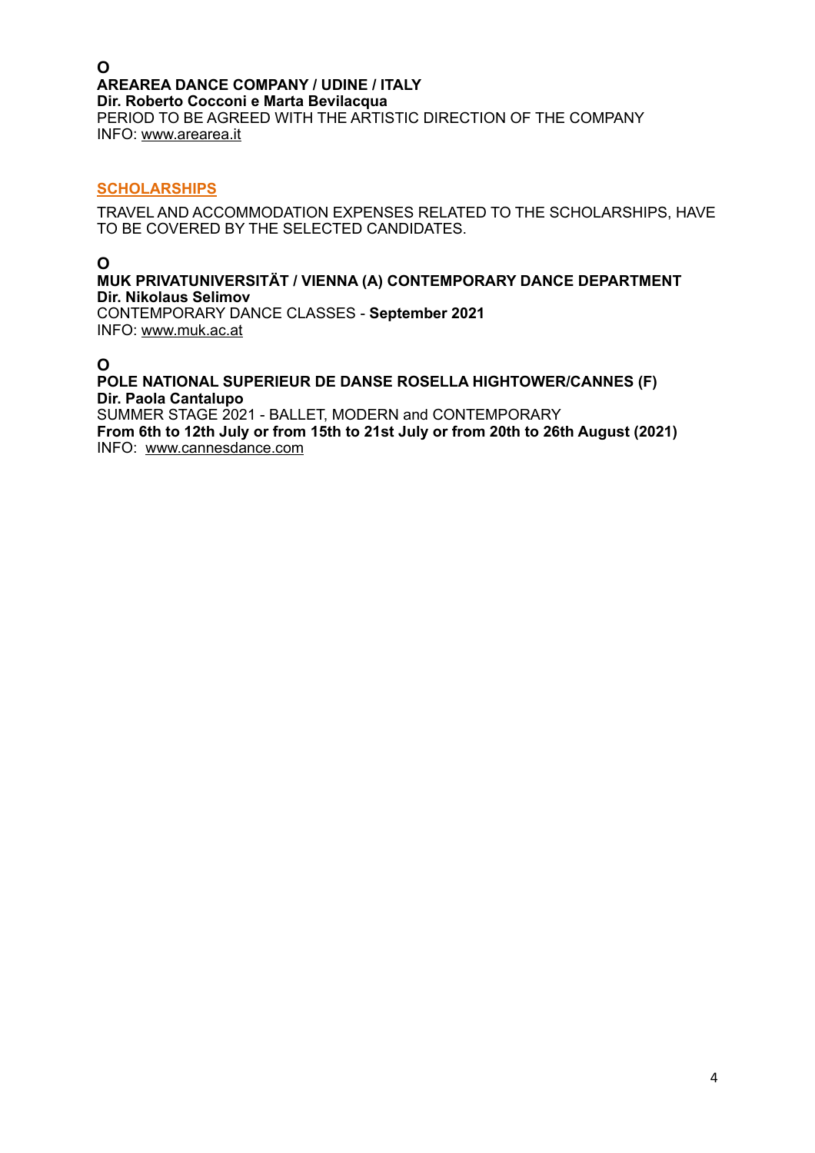#### **O AREAREA DANCE COMPANY / UDINE / ITALY Dir. Roberto Cocconi e Marta Bevilacqua**  PERIOD TO BE AGREED WITH THE ARTISTIC DIRECTION OF THE COMPANY INFO: [www.arearea.it](http://www.arearea.it)

#### **SCHOLARSHIPS**

TRAVEL AND ACCOMMODATION EXPENSES RELATED TO THE SCHOLARSHIPS, HAVE TO BE COVERED BY THE SELECTED CANDIDATES.

**O** 

#### **MUK PRIVATUNIVERSITÄT / VIENNA (A) CONTEMPORARY DANCE DEPARTMENT Dir. Nikolaus Selimov**

CONTEMPORARY DANCE CLASSES - **September 2021**  INFO: [www.muk.ac.at](http://www.muk.ac.at/)

#### **O**

#### **POLE NATIONAL SUPERIEUR DE DANSE ROSELLA HIGHTOWER/CANNES (F) Dir. Paola Cantalupo**

SUMMER STAGE 2021 - BALLET, MODERN and CONTEMPORARY **From 6th to 12th July or from 15th to 21st July or from 20th to 26th August (2021)**  INFO: www.cannesdance.com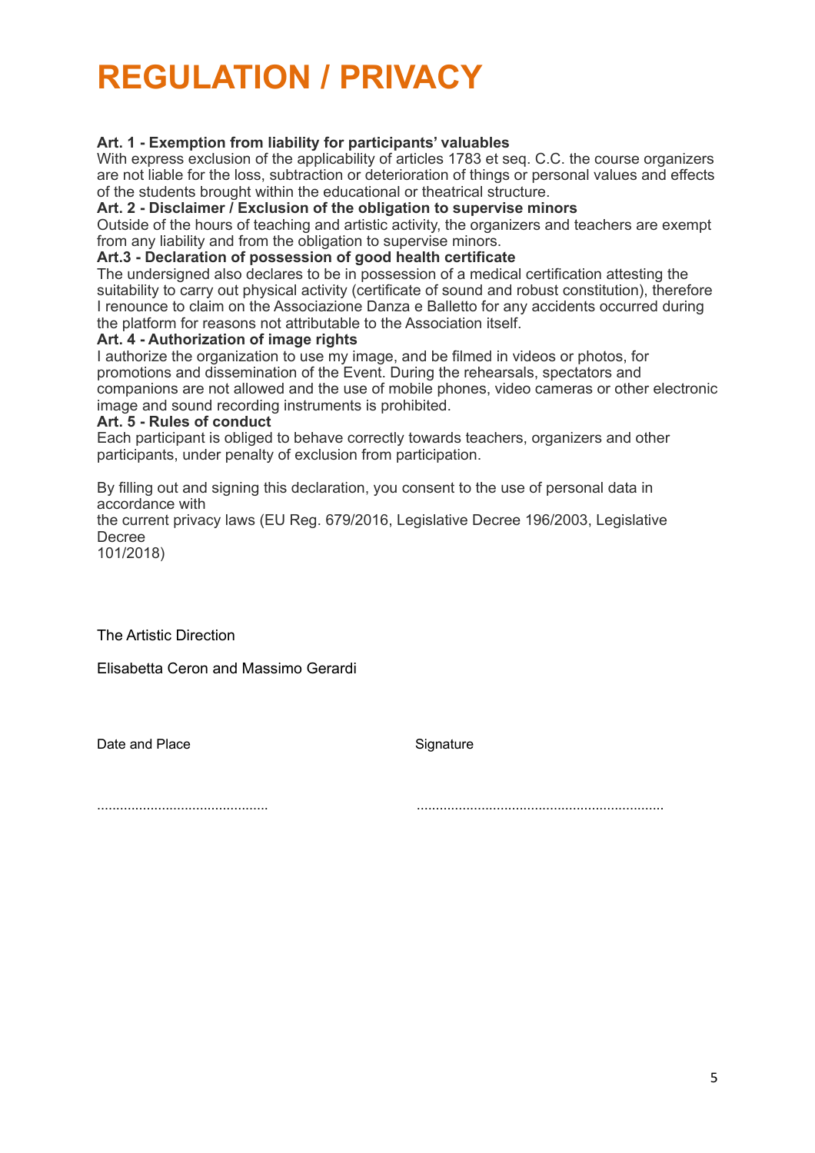### **REGULATION / PRIVACY**

#### **Art. 1 - Exemption from liability for participants' valuables**

With express exclusion of the applicability of articles 1783 et seq. C.C. the course organizers are not liable for the loss, subtraction or deterioration of things or personal values and effects of the students brought within the educational or theatrical structure.

**Art. 2 - Disclaimer / Exclusion of the obligation to supervise minors** 

Outside of the hours of teaching and artistic activity, the organizers and teachers are exempt from any liability and from the obligation to supervise minors.

#### **Art.3 - Declaration of possession of good health certificate**

The undersigned also declares to be in possession of a medical certification attesting the suitability to carry out physical activity (certificate of sound and robust constitution), therefore I renounce to claim on the Associazione Danza e Balletto for any accidents occurred during the platform for reasons not attributable to the Association itself.

#### **Art. 4 - Authorization of image rights**

I authorize the organization to use my image, and be filmed in videos or photos, for promotions and dissemination of the Event. During the rehearsals, spectators and companions are not allowed and the use of mobile phones, video cameras or other electronic image and sound recording instruments is prohibited.

#### **Art. 5 - Rules of conduct**

Each participant is obliged to behave correctly towards teachers, organizers and other participants, under penalty of exclusion from participation.

By filling out and signing this declaration, you consent to the use of personal data in accordance with

the current privacy laws (EU Reg. 679/2016, Legislative Decree 196/2003, Legislative Decree

101/2018)

The Artistic Direction

Elisabetta Ceron and Massimo Gerardi

Date and Place Signature

............................................. .................................................................